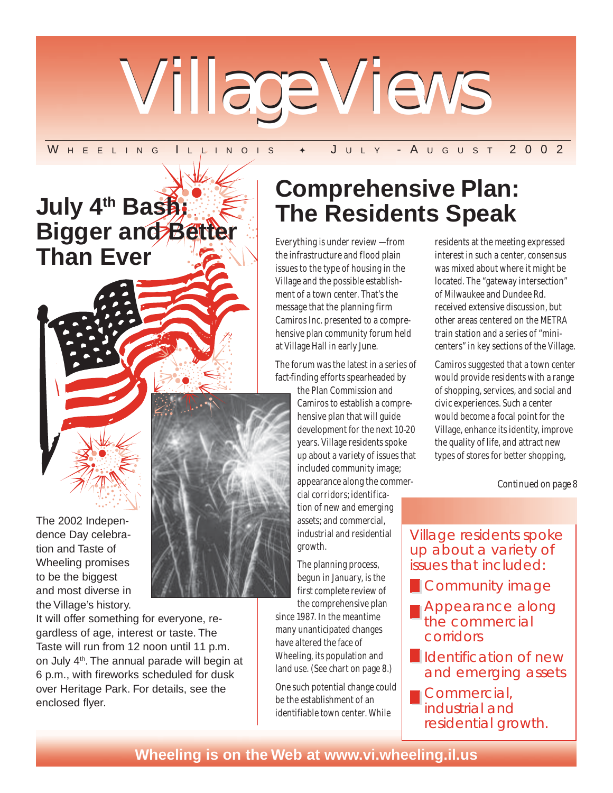

### W H E E L I N G I L L I N O I S + J U L Y - A U G U S T 2 0 0 2

# **July 4th Bash: Bigger and Better Than Ever Contract Contract Contract Contract Contract Contract Contract Contract Contract Contract Contract Contract Contract Contract Contract Contract Contract Contract Contract Contract Contract Contract Contract Cont**



The 2002 Independence Day celebration and Taste of Wheeling promises to be the biggest and most diverse in the Village's history.

It will offer something for everyone, regardless of age, interest or taste. The Taste will run from 12 noon until 11 p.m. on July 4th. The annual parade will begin at 6 p.m., with fireworks scheduled for dusk over Heritage Park. For details, see the enclosed flyer.

# **Comprehensive Plan: The Residents Speak**

the infrastructure and flood plain issues to the type of housing in the Village and the possible establishment of a town center. That's the message that the planning firm Camiros Inc. presented to a comprehensive plan community forum held at Village Hall in early June.

The forum was the latest in a series of fact-finding efforts spearheaded by

> the Plan Commission and Camiros to establish a comprehensive plan that will guide development for the next 10-20 years. Village residents spoke up about a variety of issues that included community image; appearance along the commercial corridors; identification of new and emerging assets; and commercial, industrial and residential growth.

The planning process, begun in January, is the first complete review of the comprehensive plan

since 1987. In the meantime many unanticipated changes have altered the face of Wheeling, its population and land use. (See chart on page 8.)

One such potential change could be the establishment of an identifiable town center. While

residents at the meeting expressed interest in such a center, consensus was mixed about where it might be located. The "gateway intersection" of Milwaukee and Dundee Rd. received extensive discussion, but other areas centered on the METRA train station and a series of "minicenters" in key sections of the Village.

Camiros suggested that a town center would provide residents with a range of shopping, services, and social and civic experiences. Such a center would become a focal point for the Village, enhance its identity, improve the quality of life, and attract new types of stores for better shopping,

*Continued on page 8*

Village residents spoke up about a variety of issues that included:

- **Community image**
- Appearance along the commercial corridors
- **I**I Identification of new and emerging assets
- **Commercial**, industrial and residential growth.

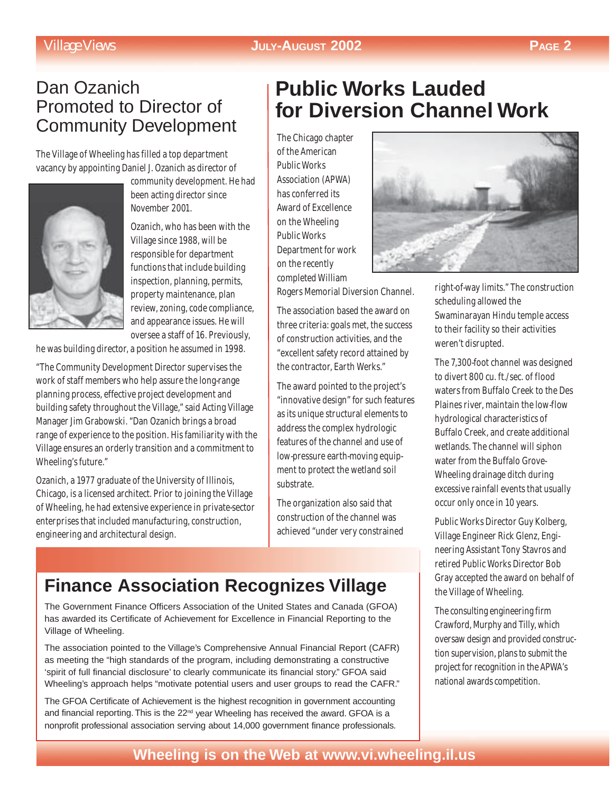### *Village Views* **JULY-AUGUST 2002 PAGE 2**

## Dan Ozanich Promoted to Director of Community Development

The Village of Wheeling has filled a top department vacancy by appointing Daniel J. Ozanich as director of



community development. He had been acting director since November 2001.

Ozanich, who has been with the Village since 1988, will be responsible for department functions that include building inspection, planning, permits, property maintenance, plan review, zoning, code compliance, and appearance issues. He will oversee a staff of 16. Previously,

he was building director, a position he assumed in 1998.

"The Community Development Director supervises the work of staff members who help assure the long-range planning process, effective project development and building safety throughout the Village," said Acting Village Manager Jim Grabowski. "Dan Ozanich brings a broad range of experience to the position. His familiarity with the Village ensures an orderly transition and a commitment to Wheeling's future."

Ozanich, a 1977 graduate of the University of Illinois, Chicago, is a licensed architect. Prior to joining the Village of Wheeling, he had extensive experience in private-sector enterprises that included manufacturing, construction, engineering and architectural design.

# **Public Works Lauded for Diversion Channel Work**

The Chicago chapter of the American Public Works Association (APWA) has conferred its Award of Excellence on the Wheeling Public Works Department for work on the recently completed William

Rogers Memorial Diversion Channel.

The association based the award on three criteria: goals met, the success of construction activities, and the "excellent safety record attained by the contractor, Earth Werks."

The award pointed to the project's "innovative design" for such features as its unique structural elements to address the complex hydrologic features of the channel and use of low-pressure earth-moving equipment to protect the wetland soil substrate.

The organization also said that construction of the channel was achieved "under very constrained

## **Finance Association Recognizes Village**

The Government Finance Officers Association of the United States and Canada (GFOA) has awarded its Certificate of Achievement for Excellence in Financial Reporting to the Village of Wheeling.

The association pointed to the Village's Comprehensive Annual Financial Report (CAFR) as meeting the "high standards of the program, including demonstrating a constructive 'spirit of full financial disclosure' to clearly communicate its financial story." GFOA said Wheeling's approach helps "motivate potential users and user groups to read the CAFR."

The GFOA Certificate of Achievement is the highest recognition in government accounting and financial reporting. This is the 22<sup>nd</sup> year Wheeling has received the award. GFOA is a nonprofit professional association serving about 14,000 government finance professionals.



right-of-way limits." The construction scheduling allowed the Swaminarayan Hindu temple access to their facility so their activities weren't disrupted.

The 7,300-foot channel was designed to divert 800 cu. ft./sec. of flood waters from Buffalo Creek to the Des Plaines river, maintain the low-flow hydrological characteristics of Buffalo Creek, and create additional wetlands. The channel will siphon water from the Buffalo Grove-Wheeling drainage ditch during excessive rainfall events that usually occur only once in 10 years.

Public Works Director Guy Kolberg, Village Engineer Rick Glenz, Engineering Assistant Tony Stavros and retired Public Works Director Bob Gray accepted the award on behalf of the Village of Wheeling.

The consulting engineering firm Crawford, Murphy and Tilly, which oversaw design and provided construction supervision, plans to submit the project for recognition in the APWA's national awards competition.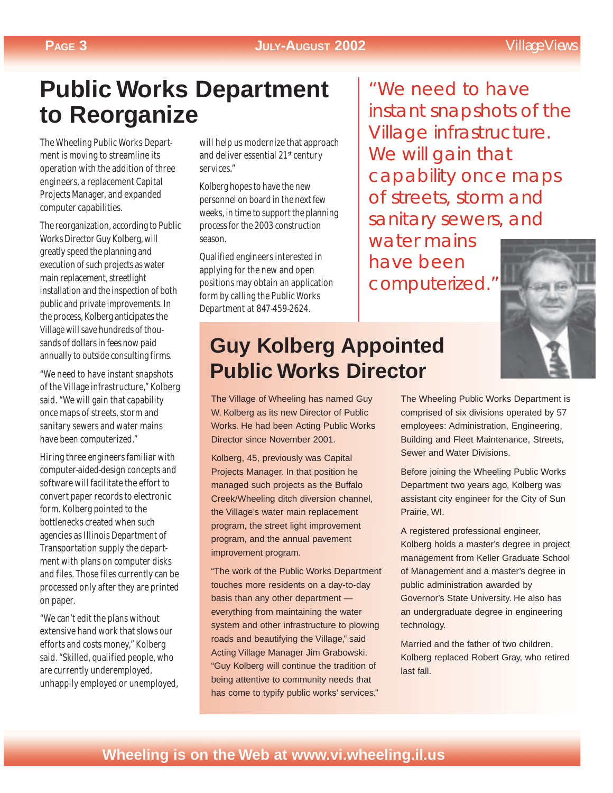### **PAGE 3 JULY-AUGUST 2002** *Village Views*

# **Public Works Department to Reorganize**

The Wheeling Public Works Department is moving to streamline its operation with the addition of three engineers, a replacement Capital Projects Manager, and expanded computer capabilities.

The reorganization, according to Public Works Director Guy Kolberg, will greatly speed the planning and execution of such projects as water main replacement, streetlight installation and the inspection of both public and private improvements. In the process, Kolberg anticipates the Village will save hundreds of thousands of dollars in fees now paid annually to outside consulting firms.

"We need to have instant snapshots of the Village infrastructure," Kolberg said. "We will gain that capability once maps of streets, storm and sanitary sewers and water mains have been computerized."

Hiring three engineers familiar with computer-aided-design concepts and software will facilitate the effort to convert paper records to electronic form. Kolberg pointed to the bottlenecks created when such agencies as Illinois Department of Transportation supply the department with plans on computer disks and files. Those files currently can be processed only after they are printed on paper.

"We can't edit the plans without extensive hand work that slows our efforts and costs money," Kolberg said. "Skilled, qualified people, who are currently underemployed, unhappily employed or unemployed,

will help us modernize that approach and deliver essential 21<sup>st</sup> century services."

Kolberg hopes to have the new personnel on board in the next few weeks, in time to support the planning process for the 2003 construction season.

Qualified engineers interested in applying for the new and open positions may obtain an application form by calling the Public Works Department at 847-459-2624.

# **Guy Kolberg Appointed Public Works Director**

The Village of Wheeling has named Guy W. Kolberg as its new Director of Public Works. He had been Acting Public Works Director since November 2001.

Kolberg, 45, previously was Capital Projects Manager. In that position he managed such projects as the Buffalo Creek/Wheeling ditch diversion channel, the Village's water main replacement program, the street light improvement program, and the annual pavement improvement program.

"The work of the Public Works Department touches more residents on a day-to-day basis than any other department everything from maintaining the water system and other infrastructure to plowing roads and beautifying the Village," said Acting Village Manager Jim Grabowski. "Guy Kolberg will continue the tradition of being attentive to community needs that has come to typify public works' services."

"We need to have instant snapshots of the Village infrastructure. We will gain that capability once maps of streets, storm and sanitary sewers, and

water mains have been computerized."



The Wheeling Public Works Department is comprised of six divisions operated by 57 employees: Administration, Engineering, Building and Fleet Maintenance, Streets, Sewer and Water Divisions.

Before joining the Wheeling Public Works Department two years ago, Kolberg was assistant city engineer for the City of Sun Prairie, WI.

A registered professional engineer, Kolberg holds a master's degree in project management from Keller Graduate School of Management and a master's degree in public administration awarded by Governor's State University. He also has an undergraduate degree in engineering technology.

Married and the father of two children, Kolberg replaced Robert Gray, who retired last fall.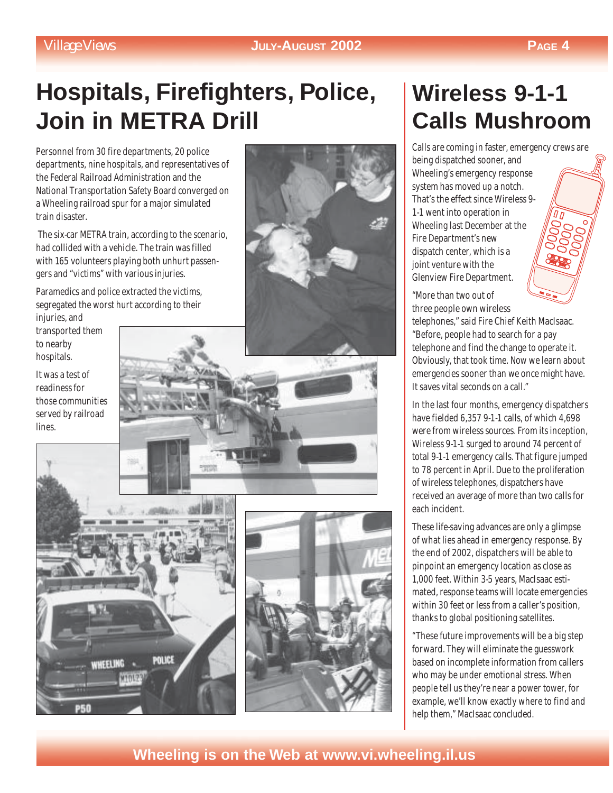# **Hospitals, Firefighters, Police, Join in METRA Drill**

Personnel from 30 fire departments, 20 police departments, nine hospitals, and representatives of the Federal Railroad Administration and the National Transportation Safety Board converged on a Wheeling railroad spur for a major simulated train disaster.

 The six-car METRA train, according to the scenario, had collided with a vehicle. The train was filled with 165 volunteers playing both unhurt passengers and "victims" with various injuries.

Paramedics and police extracted the victims, segregated the worst hurt according to their injuries, and

transported them to nearby hospitals.

It was a test of readiness for those communities served by railroad lines.









# **Wireless 9-1-1 Calls Mushroom**

Calls are coming in faster, emergency crews are being dispatched sooner, and Wheeling's emergency response system has moved up a notch. That's the effect since Wireless 9- 1-1 went into operation in Wheeling last December at the Fire Department's new dispatch center, which is a joint venture with the Glenview Fire Department.

"More than two out of three people own wireless

telephones," said Fire Chief Keith MacIsaac. "Before, people had to search for a pay telephone and find the change to operate it. Obviously, that took time. Now we learn about emergencies sooner than we once might have. It saves vital seconds on a call."

In the last four months, emergency dispatchers have fielded 6,357 9-1-1 calls, of which 4,698 were from wireless sources. From its inception, Wireless 9-1-1 surged to around 74 percent of total 9-1-1 emergency calls. That figure jumped to 78 percent in April. Due to the proliferation of wireless telephones, dispatchers have received an average of more than two calls for each incident.

These life-saving advances are only a glimpse of what lies ahead in emergency response. By the end of 2002, dispatchers will be able to pinpoint an emergency location as close as 1,000 feet. Within 3-5 years, MacIsaac estimated, response teams will locate emergencies within 30 feet or less from a caller's position, thanks to global positioning satellites.

"These future improvements will be a big step forward. They will eliminate the guesswork based on incomplete information from callers who may be under emotional stress. When people tell us they're near a power tower, for example, we'll know exactly where to find and help them," MacIsaac concluded.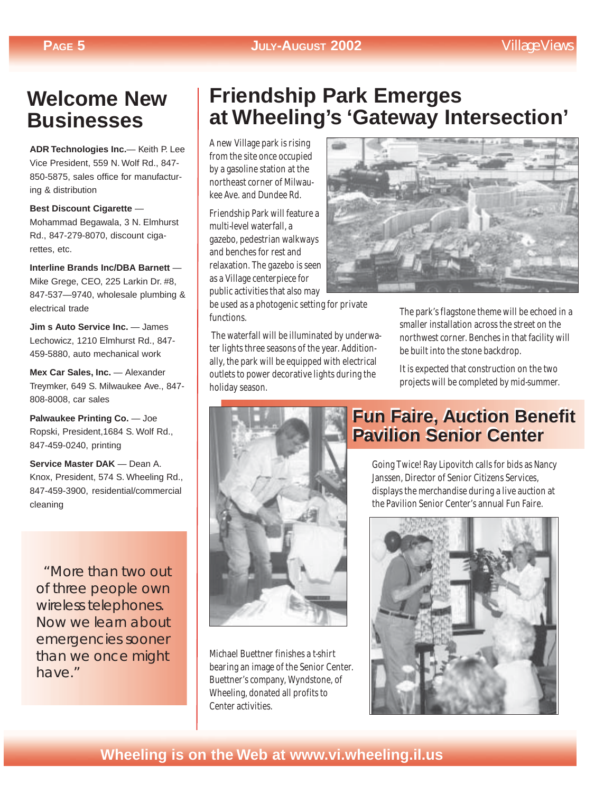## **Welcome New Businesses**

**ADR Technologies Inc.**— Keith P. Lee Vice President, 559 N. Wolf Rd., 847- 850-5875, sales office for manufacturing & distribution

**Best Discount Cigarette** — Mohammad Begawala, 3 N. Elmhurst Rd., 847-279-8070, discount cigarettes, etc.

**Interline Brands Inc/DBA Barnett** — Mike Grege, CEO, 225 Larkin Dr. #8, 847-537—9740, wholesale plumbing & electrical trade

**Jim s Auto Service Inc.** — James Lechowicz, 1210 Elmhurst Rd., 847- 459-5880, auto mechanical work

**Mex Car Sales, Inc.** — Alexander Treymker, 649 S. Milwaukee Ave., 847- 808-8008, car sales

**Palwaukee Printing Co.** — Joe Ropski, President,1684 S. Wolf Rd., 847-459-0240, printing

**Service Master DAK** — Dean A. Knox, President, 574 S. Wheeling Rd., 847-459-3900, residential/commercial cleaning

 "More than two out of three people own wireless telephones. Now we learn about emergencies sooner than we once might have."

# **Friendship Park Emerges at Wheeling's 'Gateway Intersection'**

A new Village park is rising from the site once occupied by a gasoline station at the northeast corner of Milwaukee Ave. and Dundee Rd.

Friendship Park will feature a multi-level waterfall, a gazebo, pedestrian walkways and benches for rest and relaxation. The gazebo is seen as a Village centerpiece for public activities that also may

be used as a photogenic setting for private functions.

 The waterfall will be illuminated by underwater lights three seasons of the year. Additionally, the park will be equipped with electrical outlets to power decorative lights during the holiday season.



Michael Buettner finishes a t-shirt bearing an image of the Senior Center. Buettner's company, Wyndstone, of Wheeling, donated all profits to Center activities.



The park's flagstone theme will be echoed in a smaller installation across the street on the northwest corner. Benches in that facility will be built into the stone backdrop.

It is expected that construction on the two projects will be completed by mid-summer.

## **Fun Faire, Auction Benefit Fun Faire, Auction Benefit Pavilion Senior Center Pavilion Senior Center**

Going Twice! Ray Lipovitch calls for bids as Nancy Janssen, Director of Senior Citizens Services, displays the merchandise during a live auction at the Pavilion Senior Center's annual Fun Faire.

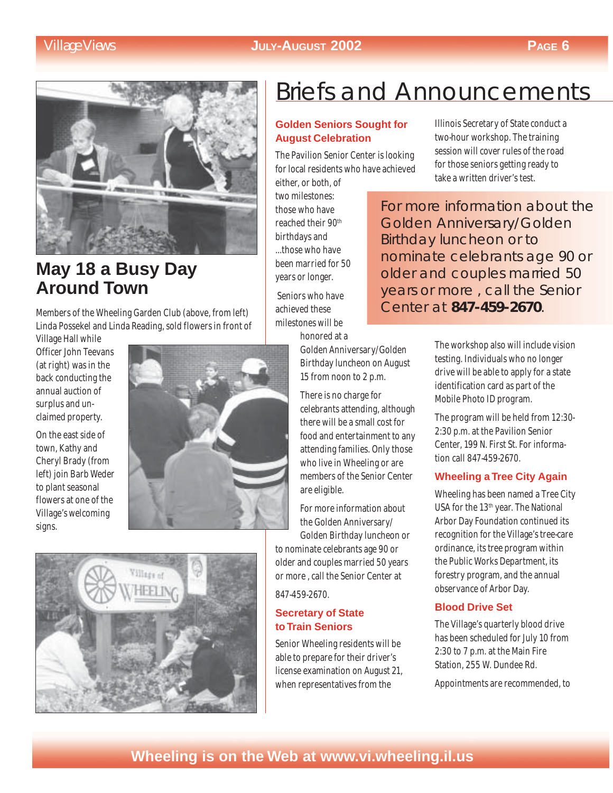

## **May 18 a Busy Day Around Town**

Members of the Wheeling Garden Club (above, from left) Linda Possekel and Linda Reading, sold flowers in front of

Village Hall while Officer John Teevans (at right) was in the back conducting the annual auction of surplus and unclaimed property.

On the east side of town, Kathy and Cheryl Brady (from left) join Barb Weder to plant seasonal flowers at one of the Village's welcoming signs.





# Briefs and Announcements

### **Golden Seniors Sought for August Celebration**

The Pavilion Senior Center is looking for local residents who have achieved

either, or both, of two milestones: those who have reached their 90th birthdays and ...those who have been married for 50 years or longer.

 Seniors who have achieved these milestones will be honored at a

> Golden Anniversary/Golden Birthday luncheon on August 15 from noon to 2 p.m.

There is no charge for celebrants attending, although there will be a small cost for food and entertainment to any attending families. Only those who live in Wheeling or are members of the Senior Center are eligible.

For more information about the Golden Anniversary/ Golden Birthday luncheon or

to nominate celebrants age 90 or older and couples married 50 years or more , call the Senior Center at

847-459-2670.

### **Secretary of State to Train Seniors**

Senior Wheeling residents will be able to prepare for their driver's license examination on August 21, when representatives from the

Illinois Secretary of State conduct a two-hour workshop. The training session will cover rules of the road for those seniors getting ready to take a written driver's test.

For more information about the Golden Anniversary/Golden Birthday luncheon or to nominate celebrants age 90 or older and couples married 50 years or more , call the Senior Center at **847-459-2670**.

> The workshop also will include vision testing. Individuals who no longer drive will be able to apply for a state identification card as part of the Mobile Photo ID program.

The program will be held from 12:30- 2:30 p.m. at the Pavilion Senior Center, 199 N. First St. For information call 847-459-2670.

### **Wheeling a Tree City Again**

Wheeling has been named a Tree City USA for the 13<sup>th</sup> year. The National Arbor Day Foundation continued its recognition for the Village's tree-care ordinance, its tree program within the Public Works Department, its forestry program, and the annual observance of Arbor Day.

### **Blood Drive Set**

The Village's quarterly blood drive has been scheduled for July 10 from 2:30 to 7 p.m. at the Main Fire Station, 255 W. Dundee Rd.

Appointments are recommended, to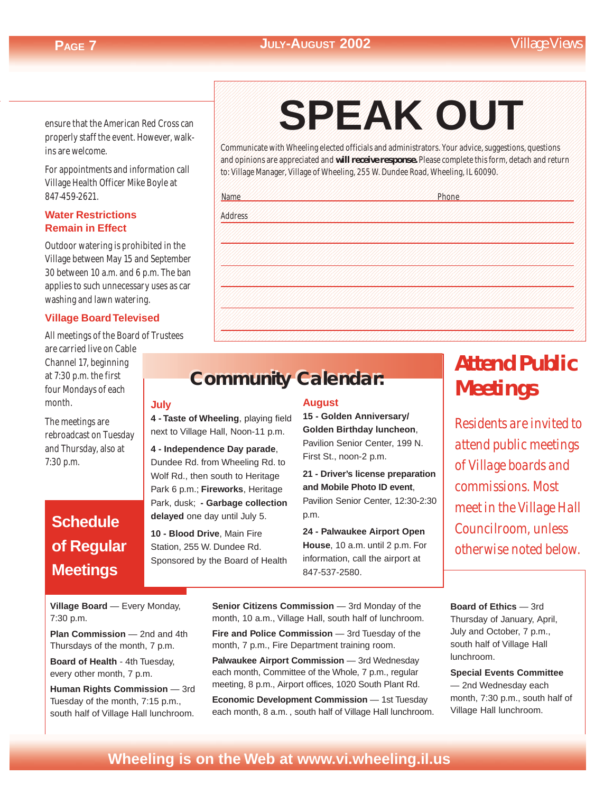ensure that the American Red Cross can properly staff the event. However, walkins are welcome.

For appointments and information call Village Health Officer Mike Boyle at 847-459-2621.

### **Water Restrictions Remain in Effect**

Outdoor watering is prohibited in the Village between May 15 and September 30 between 10 a.m. and 6 p.m. The ban applies to such unnecessary uses as car washing and lawn watering.

### **Village Board Televised**

All meetings of the Board of Trustees

are carried live on Cable Channel 17, beginning at 7:30 p.m. the first four Mondays of each month.

The meetings are rebroadcast on Tuesday and Thursday, also at 7:30 p.m.

## **Schedule of Regular Meetings**

### 1234567890123456789012345678901212345678901234567890123456789012123456789012345678901234567890121234567890123456 1234567890123456789012345678901212345678901234567890123456789012123456789012345678901234567890121234567890123456 1234567890123456789012345678901212345678901234567890123456789012123456789012345678901234567890121234567890123456 SPEAK OUT 1*23456789012345688012345678012345678012345678012345678901234567890123456789012345678901234567890123456789012345678* 1234567890123456789012345678901212345678901234567890123456789012123456789012345678901234567890121234567890123456 1234567890123456789012345678901212345678901234567890123456789012123456789012345678901234567890121234567890123456 1 6 **SPEAK OUT**

1234567890123456789012345678901212345678901234567890123456789012123456789012345678901234567890121234567890123456 1234567890123456789012345678901212345678901234567890123456789012123456789012345678901234567890121234567890123456

Communicate with Wheeling elected officials and administrators. Your advice, suggestions, questions 1234567890123456789012345678901212345678901234567890123456789012123456789012345678901234567890121234567890123456 and opinions are appreciated and will receive response. Please complete this form, detach and return to: Village Manager, Village of Wheeling, 255 W. Dundee Road, Wheeling, IL 60090. 1234567890123456789012345678901212345678901234567890123456789012123456789012345678901234567890121234567890123456

1234567890123456789012345678901212345678901234567890123456789012123456789012345678901234567890121234567890123456 1234567890123456789012345678901212345678901234567890123456789012123456789012345678901234567890121234567890123456

| <b>Name</b> | Phone |
|-------------|-------|
| Address     |       |
|             |       |
|             |       |
|             |       |
|             |       |
|             |       |
|             |       |

1234567890123456789012345678901212345678901234567890123456789012123456789012345678901234567890121234567890123456

## **Community Calendar: Community Calendar:**

**July**

**4 - Taste of Wheeling**, playing field next to Village Hall, Noon-11 p.m.

**4 - Independence Day parade**, Dundee Rd. from Wheeling Rd. to Wolf Rd., then south to Heritage Park 6 p.m.; **Fireworks**, Heritage Park, dusk; **- Garbage collection delayed** one day until July 5.

**10 - Blood Drive**, Main Fire Station, 255 W. Dundee Rd. Sponsored by the Board of Health

### **August**

**15 - Golden Anniversary/ Golden Birthday luncheon**, Pavilion Senior Center, 199 N. First St., noon-2 p.m.

**21 - Driver's license preparation and Mobile Photo ID event**, Pavilion Senior Center, 12:30-2:30 p.m.

**24 - Palwaukee Airport Open House**, 10 a.m. until 2 p.m. For information, call the airport at 847-537-2580.

# *Attend Public Meetings*

*Residents are invited to attend public meetings of Village boards and commissions. Most meet in the Village Hall Councilroom, unless otherwise noted below.*

**Village Board** — Every Monday, 7:30 p.m.

**Plan Commission** — 2nd and 4th Thursdays of the month, 7 p.m.

**Board of Health** - 4th Tuesday, every other month, 7 p.m.

**Human Rights Commission** — 3rd Tuesday of the month, 7:15 p.m., south half of Village Hall lunchroom.

Senior Citizens Commission - 3rd Monday of the month, 10 a.m., Village Hall, south half of lunchroom.

**Fire and Police Commission** — 3rd Tuesday of the month, 7 p.m., Fire Department training room.

**Palwaukee Airport Commission** — 3rd Wednesday each month, Committee of the Whole, 7 p.m., regular meeting, 8 p.m., Airport offices, 1020 South Plant Rd.

**Economic Development Commission** - 1st Tuesday each month, 8 a.m. , south half of Village Hall lunchroom.

**Board of Ethics** — 3rd Thursday of January, April, July and October, 7 p.m., south half of Village Hall lunchroom.

**Special Events Committee** — 2nd Wednesday each month, 7:30 p.m., south half of Village Hall lunchroom.

## **Wheeling is on the Web at www.vi.wheeling.il.us Wheeling is on the Web at www.vi.wheeling.il.us**